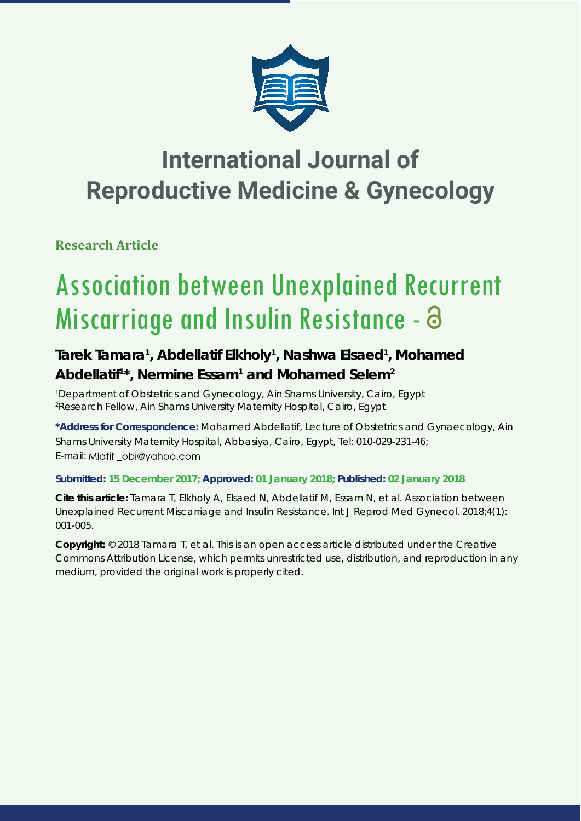

# **International Journal of Reproductive Medicine & Gynecology**

**Research Article**

# Association between Unexplained Recurrent Miscarriage and Insulin Resistance -

# Tarek Tamara<sup>1</sup>, Abdellatif Elkholy<sup>1</sup>, Nashwa Elsaed<sup>1</sup>, Mohamed Abdellatif<sup>1\*</sup>, Nermine Essam<sup>1</sup> and Mohamed Selem<sup>2</sup>

*1 Department of Obstetrics and Gynecology, Ain Shams University, Cairo, Egypt 2 Research Fellow, Ain Shams University Maternity Hospital, Cairo, Egypt*

**\*Address for Correspondence:** Mohamed Abdellatif, Lecture of Obstetrics and Gynaecology, Ain Shams University Maternity Hospital, Abbasiya, Cairo, Egypt, Tel: 010-029-231-46; E-mail: Mlatif obi@yahoo.com

# **Submitted: 15 December 2017; Approved: 01 January 2018; Published: 02 January 2018**

**Cite this article:** Tamara T, Elkholy A, Elsaed N, Abdellatif M, Essam N, et al. Association between Unexplained Recurrent Miscarriage and Insulin Resistance. Int J Reprod Med Gynecol. 2018;4(1): 001-005.

**Copyright:** © 2018 Tamara T, et al. This is an open access article distributed under the Creative Commons Attribution License, which permits unrestricted use, distribution, and reproduction in any medium, provided the original work is properly cited.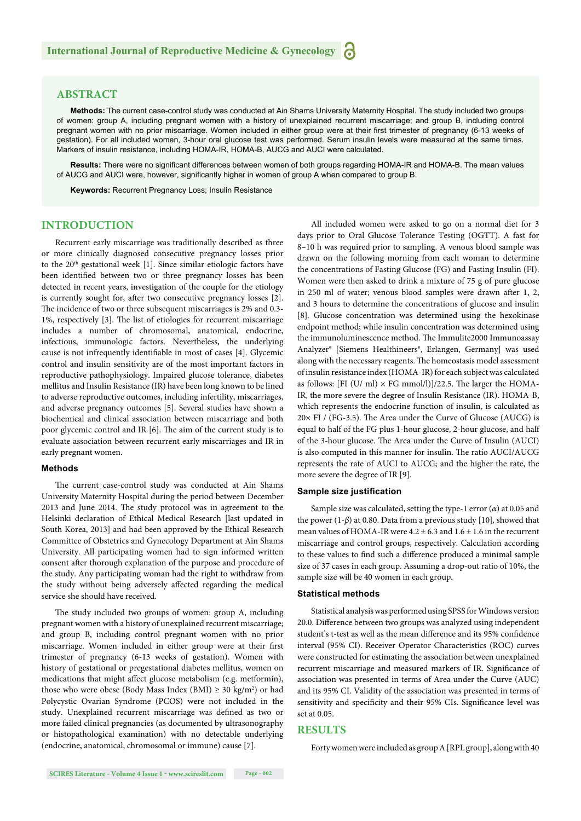# **ABSTRACT**

**Methods:** The current case-control study was conducted at Ain Shams University Maternity Hospital. The study included two groups of women: group A, including pregnant women with a history of unexplained recurrent miscarriage; and group B, including control pregnant women with no prior miscarriage. Women included in either group were at their first trimester of pregnancy (6-13 weeks of gestation). For all included women, 3-hour oral glucose test was performed. Serum insulin levels were measured at the same times. Markers of insulin resistance, including HOMA-IR, HOMA-B, AUCG and AUCI were calculated.

Results: There were no significant differences between women of both groups regarding HOMA-IR and HOMA-B. The mean values of AUCG and AUCI were, however, significantly higher in women of group A when compared to group B.

**Keywords:** Recurrent Pregnancy Loss; Insulin Resistance

# **INTRODUCTION**

Recurrent early miscarriage was traditionally described as three or more clinically diagnosed consecutive pregnancy losses prior to the 20th gestational week [1]. Since similar etiologic factors have been identified between two or three pregnancy losses has been detected in recent years, investigation of the couple for the etiology is currently sought for, after two consecutive pregnancy losses [2]. The incidence of two or three subsequent miscarriages is 2% and 0.3-1%, respectively [3]. The list of etiologies for recurrent miscarriage includes a number of chromosomal, anatomical, endocrine, infectious, immunologic factors. Nevertheless, the underlying cause is not infrequently identifiable in most of cases [4]. Glycemic control and insulin sensitivity are of the most important factors in reproductive pathophysiology. Impaired glucose tolerance, diabetes mellitus and Insulin Resistance (IR) have been long known to be lined to adverse reproductive outcomes, including infertility, miscarriages, and adverse pregnancy outcomes [5]. Several studies have shown a biochemical and clinical association between miscarriage and both poor glycemic control and IR [6]. The aim of the current study is to evaluate association between recurrent early miscarriages and IR in early pregnant women.

#### **Methods**

The current case-control study was conducted at Ain Shams University Maternity Hospital during the period between December 2013 and June 2014. The study protocol was in agreement to the Helsinki declaration of Ethical Medical Research [last updated in South Korea, 2013] and had been approved by the Ethical Research Committee of Obstetrics and Gynecology Department at Ain Shams University. All participating women had to sign informed written consent after thorough explanation of the purpose and procedure of the study. Any participating woman had the right to withdraw from the study without being adversely affected regarding the medical service she should have received.

The study included two groups of women: group A, including pregnant women with a history of unexplained recurrent miscarriage; and group B, including control pregnant women with no prior miscarriage. Women included in either group were at their first trimester of pregnancy (6-13 weeks of gestation). Women with history of gestational or pregestational diabetes mellitus, women on medications that might affect glucose metabolism (e.g. metformin), those who were obese (Body Mass Index (BMI)  $\geq 30$  kg/m<sup>2</sup>) or had Polycystic Ovarian Syndrome (PCOS) were not included in the study. Unexplained recurrent miscarriage was defined as two or more failed clinical pregnancies (as documented by ultrasonography or histopathological examination) with no detectable underlying (endocrine, anatomical, chromosomal or immune) cause [7].

All included women were asked to go on a normal diet for 3 days prior to Oral Glucose Tolerance Testing (OGTT). A fast for 8–10 h was required prior to sampling. A venous blood sample was drawn on the following morning from each woman to determine the concentrations of Fasting Glucose (FG) and Fasting Insulin (FI). Women were then asked to drink a mixture of 75 g of pure glucose in 250 ml of water; venous blood samples were drawn after 1, 2, and 3 hours to determine the concentrations of glucose and insulin [8]*.* Glucose concentration was determined using the hexokinase endpoint method; while insulin concentration was determined using the immunoluminescence method. The Immulite2000 Immunoassay Analyzer® [Siemens Healthineers®, Erlangen, Germany] was used along with the necessary reagents. The homeostasis model assessment of insulin resistance index (HOMA-IR) for each subject was calculated as follows: [FI (U/ ml)  $\times$  FG mmol/l)]/22.5. The larger the HOMA-IR, the more severe the degree of Insulin Resistance (IR). HOMA-B, which represents the endocrine function of insulin, is calculated as  $20\times$  FI / (FG-3.5). The Area under the Curve of Glucose (AUCG) is equal to half of the FG plus 1-hour glucose, 2-hour glucose, and half of the 3-hour glucose. The Area under the Curve of Insulin (AUCI) is also computed in this manner for insulin. The ratio AUCI/AUCG represents the rate of AUCI to AUCG; and the higher the rate, the more severe the degree of IR [9]*.*

#### **Sample size justification**

Sample size was calculated, setting the type-1 error  $(\alpha)$  at 0.05 and the power (1-*β*) at 0.80. Data from a previous study [10]*,* showed that mean values of HOMA-IR were  $4.2 \pm 6.3$  and  $1.6 \pm 1.6$  in the recurrent miscarriage and control groups, respectively. Calculation according to these values to find such a difference produced a minimal sample size of 37 cases in each group. Assuming a drop-out ratio of 10%, the sample size will be 40 women in each group.

#### **Statistical methods**

Statistical analysis was performed using SPSS for Windows version 20.0. Difference between two groups was analyzed using independent student's t-test as well as the mean difference and its 95% confidence interval (95% CI). Receiver Operator Characteristics (ROC) curves were constructed for estimating the association between unexplained recurrent miscarriage and measured markers of IR. Significance of association was presented in terms of Area under the Curve (AUC) and its 95% CI. Validity of the association was presented in terms of sensitivity and specificity and their 95% CIs. Significance level was set at 0.05.

## **RESULTS**

Forty women were included as group A [RPL group], along with 40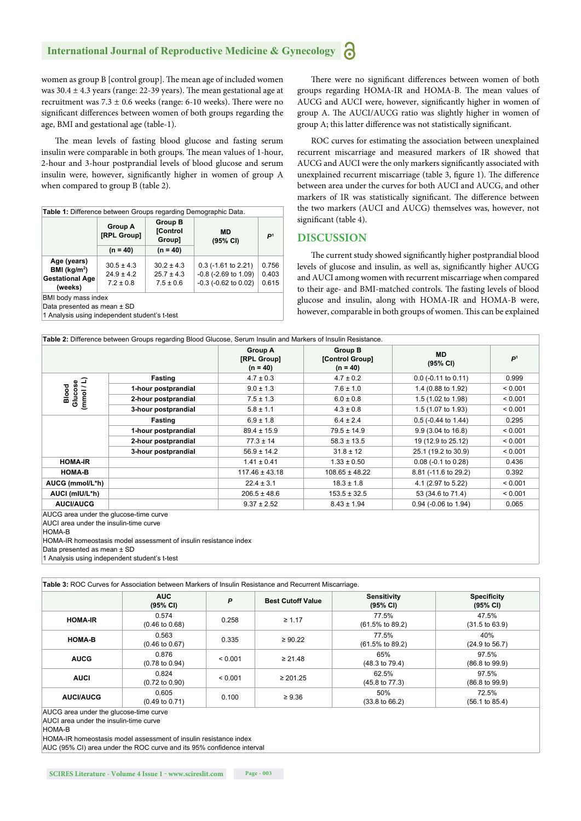# **International Journal of Reproductive Medicine & Gynecology**

women as group B [control group]. The mean age of included women was  $30.4 \pm 4.3$  years (range: 22-39 years). The mean gestational age at recruitment was  $7.3 \pm 0.6$  weeks (range: 6-10 weeks). There were no significant differences between women of both groups regarding the age, BMI and gestational age (table-1).

The mean levels of fasting blood glucose and fasting serum insulin were comparable in both groups. The mean values of 1-hour, 2-hour and 3-hour postprandial levels of blood glucose and serum insulin were, however, significantly higher in women of group A when compared to group B (table 2).

| Table 1: Difference between Groups regarding Demographic Data.      |                                                   |                                                   |                                                                                    |                         |  |  |
|---------------------------------------------------------------------|---------------------------------------------------|---------------------------------------------------|------------------------------------------------------------------------------------|-------------------------|--|--|
|                                                                     | <b>Group A</b><br>[RPL Group]                     | <b>Group B</b><br><b>[Control</b><br>Group]       | MD<br>P<br>(95% CI)                                                                |                         |  |  |
|                                                                     | $(n = 40)$                                        | $(n = 40)$                                        |                                                                                    |                         |  |  |
| Age (years)<br>BMI ( $kg/m2$ )<br><b>Gestational Age</b><br>(weeks) | $30.5 \pm 4.3$<br>$24.9 \pm 4.2$<br>$7.2 \pm 0.8$ | $30.2 \pm 4.3$<br>$25.7 \pm 4.3$<br>$7.5 \pm 0.6$ | $0.3$ (-1.61 to 2.21)<br>$-0.8$ ( $-2.69$ to 1.09)<br>$-0.3$ ( $-0.62$ to $0.02$ ) | 0.756<br>0.403<br>0.615 |  |  |
| BMI body mass index                                                 |                                                   |                                                   |                                                                                    |                         |  |  |

Data presented as mean ± SD

1 Analysis using independent student's t-test

There were no significant differences between women of both groups regarding HOMA-IR and HOMA-B. The mean values of AUCG and AUCI were, however, significantly higher in women of group A. The AUCI/AUCG ratio was slightly higher in women of group A; this latter difference was not statistically significant.

ROC curves for estimating the association between unexplained recurrent miscarriage and measured markers of IR showed that AUCG and AUCI were the only markers significantly associated with unexplained recurrent miscarriage (table 3, figure 1). The difference between area under the curves for both AUCI and AUCG, and other markers of IR was statistically significant. The difference between the two markers (AUCI and AUCG) themselves was, however, not significant (table 4).

## **DISCUSSION**

The current study showed significantly higher postprandial blood levels of glucose and insulin, as well as, significantly higher AUCG and AUCI among women with recurrent miscarriage when compared to their age- and BMI-matched controls. The fasting levels of blood glucose and insulin, along with HOMA-IR and HOMA-B were, however, comparable in both groups of women. This can be explained

|                                | Table 2: Difference between Groups regarding Blood Glucose, Serum Insulin and Markers of Insulin Resistance. |                                             |                                          |                              |                |
|--------------------------------|--------------------------------------------------------------------------------------------------------------|---------------------------------------------|------------------------------------------|------------------------------|----------------|
|                                |                                                                                                              | <b>Group A</b><br>[RPL Group]<br>$(n = 40)$ | Group B<br>[Control Group]<br>$(n = 40)$ | <b>MD</b><br>(95% CI)        | P <sup>1</sup> |
|                                | Fasting                                                                                                      | $4.7 \pm 0.3$                               | $4.7 \pm 0.2$                            | $0.0$ (-0.11 to 0.11)        | 0.999          |
| Glucose<br>(mmol / L)<br>Blood | 1-hour postprandial                                                                                          | $9.0 \pm 1.3$                               | $7.6 \pm 1.0$                            | 1.4 (0.88 to 1.92)           | < 0.001        |
|                                | 2-hour postprandial                                                                                          | $7.5 \pm 1.3$                               | $6.0 \pm 0.8$                            | 1.5 (1.02 to 1.98)           | < 0.001        |
|                                | 3-hour postprandial                                                                                          | $5.8 \pm 1.1$                               | $4.3 \pm 0.8$                            | 1.5 (1.07 to 1.93)           | < 0.001        |
|                                | Fasting                                                                                                      | $6.9 \pm 1.8$                               | $6.4 \pm 2.4$                            | $0.5$ (-0.44 to 1.44)        | 0.295          |
|                                | 1-hour postprandial                                                                                          | $89.4 \pm 15.9$                             | $79.5 \pm 14.9$                          | $9.9(3.04 \text{ to } 16.8)$ | < 0.001        |
|                                | 2-hour postprandial                                                                                          | $77.3 \pm 14$                               | $58.3 \pm 13.5$                          | 19 (12.9 to 25.12)           | < 0.001        |
|                                | 3-hour postprandial                                                                                          | $56.9 \pm 14.2$                             | $31.8 \pm 12$                            | 25.1 (19.2 to 30.9)          | < 0.001        |
| <b>HOMA-IR</b>                 |                                                                                                              | $1.41 \pm 0.41$                             | $1.33 \pm 0.50$                          | $0.08$ (-0.1 to 0.28)        | 0.436          |
| <b>HOMA-B</b>                  |                                                                                                              | $117.46 \pm 43.18$                          | $108.65 \pm 48.22$                       | 8.81 (-11.6 to 29.2)         | 0.392          |
| AUCG (mmol/L*h)                |                                                                                                              | $22.4 \pm 3.1$                              | $18.3 \pm 1.8$                           | 4.1 (2.97 to 5.22)           | < 0.001        |
| AUCI (mIU/L*h)                 |                                                                                                              | $206.5 \pm 48.6$                            | $153.5 \pm 32.5$                         | 53 (34.6 to 71.4)            | < 0.001        |
| <b>AUCI/AUCG</b>               |                                                                                                              | $9.37 \pm 2.52$                             | $8.43 \pm 1.94$                          | 0.94 (-0.06 to 1.94)         | 0.065          |
|                                |                                                                                                              |                                             |                                          |                              |                |

AUCG area under the glucose-time curve

AUCI area under the insulin-time curve

HOMA-B

HOMA-IR homeostasis model assessment of insulin resistance index

Data presented as mean ± SD

1 Analysis using independent student's t-test

|                  | <b>AUC</b><br>(95% CI)             | P       | <b>Best Cutoff Value</b> | <b>Sensitivity</b><br>(95% CI)       | <b>Specificity</b><br>(95% CI)     |
|------------------|------------------------------------|---------|--------------------------|--------------------------------------|------------------------------------|
| <b>HOMA-IR</b>   | 0.574<br>$(0.46 \text{ to } 0.68)$ | 0.258   | $\geq 1.17$              | 77.5%<br>$(61.5\% \text{ to } 89.2)$ | 47.5%<br>$(31.5 \text{ to } 63.9)$ |
| <b>HOMA-B</b>    | 0.563<br>$(0.46 \text{ to } 0.67)$ | 0.335   | $\geq 90.22$             | 77.5%<br>$(61.5\% \text{ to } 89.2)$ | 40%<br>$(24.9 \text{ to } 56.7)$   |
| <b>AUCG</b>      | 0.876<br>$(0.78 \text{ to } 0.94)$ | < 0.001 | $\geq 21.48$             | 65%<br>$(48.3 \text{ to } 79.4)$     | 97.5%<br>$(86.8 \text{ to } 99.9)$ |
| <b>AUCI</b>      | 0.824<br>$(0.72 \text{ to } 0.90)$ | < 0.001 | $\geq 201.25$            | 62.5%<br>$(45.8 \text{ to } 77.3)$   | 97.5%<br>$(86.8 \text{ to } 99.9)$ |
| <b>AUCI/AUCG</b> | 0.605<br>$(0.49 \text{ to } 0.71)$ | 0.100   | $\geq 9.36$              | 50%<br>$(33.8 \text{ to } 66.2)$     | 72.5%<br>(56.1 to 85.4)            |

AUCG area under the glucose-time curve

AUCI area under the insulin-time curve

HOMA-B

HOMA-IR homeostasis model assessment of insulin resistance index

AUC (95% CI) area under the ROC curve and its 95% confidence interval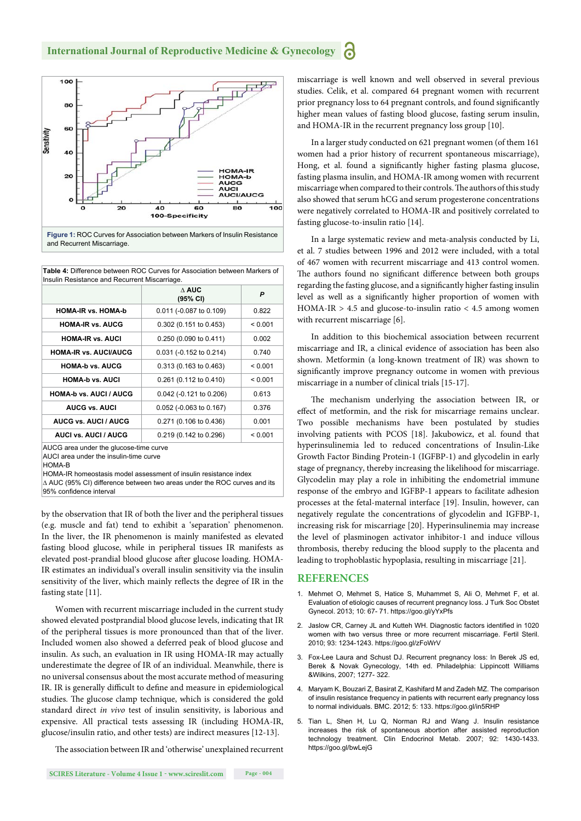

**Table 4:** Difference between ROC Curves for Association between Markers of Insulin Resistance and Recurrent Miscarriage.

|                               | $\wedge$ AUC<br>(95% CI)  | P       |  |  |
|-------------------------------|---------------------------|---------|--|--|
| <b>HOMA-IR vs. HOMA-b</b>     | 0.011 (-0.087 to 0.109)   | 0.822   |  |  |
| <b>HOMA-IR vs. AUCG</b>       | 0.302 (0.151 to 0.453)    | < 0.001 |  |  |
| <b>HOMA-IR vs. AUCI</b>       | 0.250 (0.090 to 0.411)    | 0.002   |  |  |
| <b>HOMA-IR vs. AUCI/AUCG</b>  | 0.031 (-0.152 to 0.214)   | 0.740   |  |  |
| <b>HOMA-b vs. AUCG</b>        | 0.313 (0.163 to 0.463)    | < 0.001 |  |  |
| <b>HOMA-b vs. AUCI</b>        | 0.261 (0.112 to 0.410)    | < 0.001 |  |  |
| <b>HOMA-b vs. AUCI / AUCG</b> | 0.042 (-0.121 to 0.206)   | 0.613   |  |  |
| <b>AUCG vs. AUCI</b>          | $0.052$ (-0.063 to 0.167) | 0.376   |  |  |
| <b>AUCG vs. AUCI / AUCG</b>   | 0.271 (0.106 to 0.436)    | 0.001   |  |  |
| <b>AUCI vs. AUCI / AUCG</b>   | 0.219 (0.142 to 0.296)    | < 0.001 |  |  |
| $1100$ $3.11$                 |                           |         |  |  |

.c area under the glue AUCI area under the insulin-time curve

HOMA-B

HOMA-IR homeostasis model assessment of insulin resistance index ∆ AUC (95% CI) difference between two areas under the ROC curves and its 95% confidence interval

by the observation that IR of both the liver and the peripheral tissues (e.g. muscle and fat) tend to exhibit a 'separation' phenomenon. In the liver, the IR phenomenon is mainly manifested as elevated fasting blood glucose, while in peripheral tissues IR manifests as elevated post-prandial blood glucose after glucose loading. HOMA-IR estimates an individual's overall insulin sensitivity via the insulin sensitivity of the liver, which mainly reflects the degree of IR in the fasting state [11].

Women with recurrent miscarriage included in the current study showed elevated postprandial blood glucose levels, indicating that IR of the peripheral tissues is more pronounced than that of the liver. Included women also showed a deferred peak of blood glucose and insulin. As such, an evaluation in IR using HOMA-IR may actually underestimate the degree of IR of an individual. Meanwhile, there is no universal consensus about the most accurate method of measuring IR. IR is generally difficult to define and measure in epidemiological studies. The glucose clamp technique, which is considered the gold standard direct *in vivo* test of insulin sensitivity, is laborious and expensive. All practical tests assessing IR (including HOMA-IR, glucose/insulin ratio, and other tests) are indirect measures [12-13].

The association between IR and 'otherwise' unexplained recurrent

miscarriage is well known and well observed in several previous studies. Celik, et al. compared 64 pregnant women with recurrent prior pregnancy loss to 64 pregnant controls, and found significantly higher mean values of fasting blood glucose, fasting serum insulin, and HOMA-IR in the recurrent pregnancy loss group [10].

In a larger study conducted on 621 pregnant women (of them 161 women had a prior history of recurrent spontaneous miscarriage), Hong, et al. found a significantly higher fasting plasma glucose, fasting plasma insulin, and HOMA-IR among women with recurrent miscarriage when compared to their controls. The authors of this study also showed that serum hCG and serum progesterone concentrations were negatively correlated to HOMA-IR and positively correlated to fasting glucose-to-insulin ratio [14].

In a large systematic review and meta-analysis conducted by Li, et al. 7 studies between 1996 and 2012 were included, with a total of 467 women with recurrent miscarriage and 413 control women. The authors found no significant difference between both groups regarding the fasting glucose, and a significantly higher fasting insulin level as well as a significantly higher proportion of women with HOMA-IR  $> 4.5$  and glucose-to-insulin ratio  $< 4.5$  among women with recurrent miscarriage [6].

In addition to this biochemical association between recurrent miscarriage and IR, a clinical evidence of association has been also shown. Metformin (a long-known treatment of IR) was shown to significantly improve pregnancy outcome in women with previous miscarriage in a number of clinical trials [15-17].

The mechanism underlying the association between IR, or effect of metformin, and the risk for miscarriage remains unclear. Two possible mechanisms have been postulated by studies involving patients with PCOS [18]. Jakubowicz, et al. found that hyperinsulinemia led to reduced concentrations of Insulin-Like Growth Factor Binding Protein-1 (IGFBP-1) and glycodelin in early stage of pregnancy, thereby increasing the likelihood for miscarriage. Glycodelin may play a role in inhibiting the endometrial immune response of the embryo and IGFBP-1 appears to facilitate adhesion processes at the fetal-maternal interface [19]. Insulin, however, can negatively regulate the concentrations of glycodelin and IGFBP-1, increasing risk for miscarriage [20]. Hyperinsulinemia may increase the level of plasminogen activator inhibitor-1 and induce villous thrombosis, thereby reducing the blood supply to the placenta and leading to trophoblastic hypoplasia, resulting in miscarriage [21].

### **REFERENCES**

- 1. Mehmet O, Mehmet S, Hatice S, Muhammet S, Ali O, Mehmet F, et al. Evaluation of etiologic causes of recurrent pregnancy loss. J Turk Soc Obstet Gynecol. 2013; 10: 67- 71. https://goo.gl/yYxPfs
- 2. Jaslow CR, Carney JL and Kutteh WH. Diagnostic factors identified in 1020 women with two versus three or more recurrent miscarriage. Fertil Steril. 2010; 93: 1234-1243. https://goo.gl/zFoWrV
- 3. Fox-Lee Laura and Schust DJ. Recurrent pregnancy loss: In Berek JS ed, Berek & Novak Gynecology, 14th ed. Philadelphia: Lippincott Williams &Wilkins, 2007; 1277- 322.
- 4. Maryam K, Bouzari Z, Basirat Z, Kashifard M and Zadeh MZ. The comparison of insulin resistance frequency in patients with recurrent early pregnancy loss to normal individuals. BMC. 2012; 5: 133. https://goo.gl/in5RHP
- 5. Tian L, Shen H, Lu Q, Norman RJ and Wang J. Insulin resistance increases the risk of spontaneous abortion after assisted reproduction technology treatment. Clin Endocrinol Metab. 2007; 92: 1430-1433. https://goo.gl/bwLejG